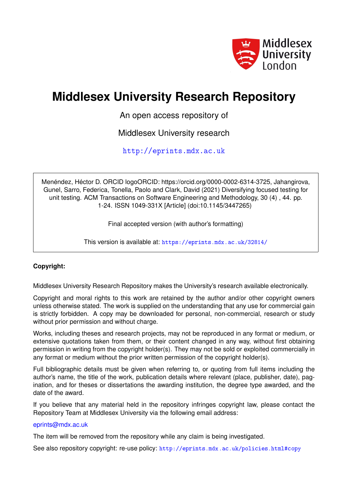

# **Middlesex University Research Repository**

An open access repository of

Middlesex University research

<http://eprints.mdx.ac.uk>

Menéndez, Héctor D. ORCID logoORCID: https://orcid.org/0000-0002-6314-3725, Jahangirova, Gunel, Sarro, Federica, Tonella, Paolo and Clark, David (2021) Diversifying focused testing for unit testing. ACM Transactions on Software Engineering and Methodology, 30 (4) , 44. pp. 1-24. ISSN 1049-331X [Article] (doi:10.1145/3447265)

Final accepted version (with author's formatting)

This version is available at: <https://eprints.mdx.ac.uk/32814/>

# **Copyright:**

Middlesex University Research Repository makes the University's research available electronically.

Copyright and moral rights to this work are retained by the author and/or other copyright owners unless otherwise stated. The work is supplied on the understanding that any use for commercial gain is strictly forbidden. A copy may be downloaded for personal, non-commercial, research or study without prior permission and without charge.

Works, including theses and research projects, may not be reproduced in any format or medium, or extensive quotations taken from them, or their content changed in any way, without first obtaining permission in writing from the copyright holder(s). They may not be sold or exploited commercially in any format or medium without the prior written permission of the copyright holder(s).

Full bibliographic details must be given when referring to, or quoting from full items including the author's name, the title of the work, publication details where relevant (place, publisher, date), pagination, and for theses or dissertations the awarding institution, the degree type awarded, and the date of the award.

If you believe that any material held in the repository infringes copyright law, please contact the Repository Team at Middlesex University via the following email address:

# [eprints@mdx.ac.uk](mailto:eprints@mdx.ac.uk)

The item will be removed from the repository while any claim is being investigated.

See also repository copyright: re-use policy: <http://eprints.mdx.ac.uk/policies.html#copy>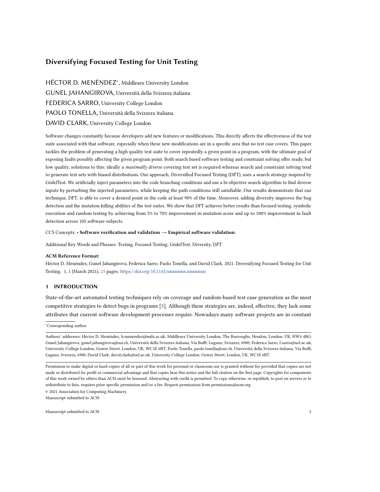# Diversifying Focused Testing for Unit Testing

HÉCTOR D. MENÉNDEZ<sup>∗</sup> , Middlesex University London GUNEL JAHANGIROVA, Università della Svizzera italiana FEDERICA SARRO, University College London PAOLO TONELLA, Università della Svizzera italiana DAVID CLARK, University College London

Software changes constantly because developers add new features or modifications. This directly affects the effectiveness of the test suite associated with that software, especially when these new modifications are in a specific area that no test case covers. This paper tackles the problem of generating a high quality test suite to cover repeatedly a given point in a program, with the ultimate goal of exposing faults possibly affecting the given program point. Both search based software testing and constraint solving offer ready, but low quality, solutions to this: ideally a maximally diverse covering test set is required whereas search and constraint solving tend to generate test sets with biased distributions. Our approach, Diversified Focused Testing (DFT), uses a search strategy inspired by GödelTest. We artificially inject parameters into the code branching conditions and use a bi-objective search algorithm to find diverse inputs by perturbing the injected parameters, while keeping the path conditions still satisfiable. Our results demonstrate that our technique, DFT, is able to cover a desired point in the code at least 90% of the time. Moreover, adding diversity improves the bug detection and the mutation killing abilities of the test suites. We show that DFT achieves better results than focused testing, symbolic execution and random testing by achieving from 3% to 70% improvement in mutation score and up to 100% improvement in fault detection across 105 software subjects.

#### CCS Concepts: • Software verification and validation → Empirical software validation;

Additional Key Words and Phrases: Testing, Focused Testing, GödelTest, Diversity, DFT

#### ACM Reference Format:

Héctor D. Menéndez, Gunel Jahangirova, Federica Sarro, Paolo Tonella, and David Clark. 2021. Diversifying Focused Testing for Unit Testing. 1, 1 (March 2021), [23](#page-23-0) pages. <https://doi.org/10.1145/nnnnnnn.nnnnnnn>

#### 1 INTRODUCTION

State-of-the-art automated testing techniques rely on coverage and random-based test case generation as the most competitive strategies to detect bugs in programs [\[5\]](#page-21-0). Although these strategies are, indeed, effective, they lack some attributes that current software development processes require. Nowadays many software projects are in constant

<sup>∗</sup>Corresponding author.

© 2021 Association for Computing Machinery. Manuscript submitted to ACM

Authors' addresses: Héctor D. Menéndez, h.menendez@mdx.ac.uk, Middlesex University London, The Burroughs, Hendon, London, UK, NW4 4BG; Gunel Jahangirova, gunel.jahangirova@usi.ch, Università della Svizzera italiana, Via Buffi, Lugano, Svizzera, 6900; Federica Sarro, f.sarro@ucl.ac.uk, University College London, Gower Street, London, UK, WC1E 6BT; Paolo Tonella, paolo.tonella@usi.ch, Università della Svizzera italiana, Via Buffi, Lugano, Svizzera, 6900; David Clark, david.clark@ucl.ac.uk, University College London, Gower Street, London, UK, WC1E 6BT.

Permission to make digital or hard copies of all or part of this work for personal or classroom use is granted without fee provided that copies are not made or distributed for profit or commercial advantage and that copies bear this notice and the full citation on the first page. Copyrights for components of this work owned by others than ACM must be honored. Abstracting with credit is permitted. To copy otherwise, or republish, to post on servers or to redistribute to lists, requires prior specific permission and/or a fee. Request permissions from permissions@acm.org.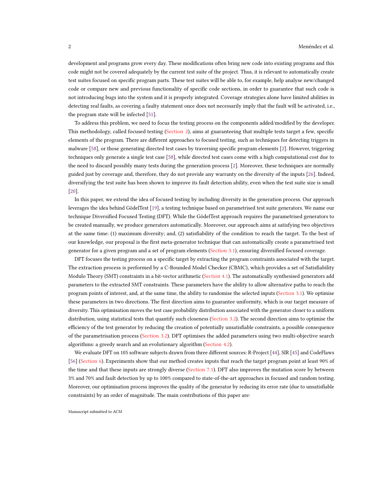development and programs grow every day. These modifications often bring new code into existing programs and this code might not be covered adequately by the current test suite of the project. Thus, it is relevant to automatically create test suites focused on specific program parts. These test suites will be able to, for example, help analyse new/changed code or compare new and previous functionality of specific code sections, in order to guarantee that such code is not introducing bugs into the system and it is properly integrated. Coverage strategies alone have limited abilities in detecting real faults, as covering a faulty statement once does not necessarily imply that the fault will be activated, i.e., the program state will be infected [\[51\]](#page-23-1).

To address this problem, we need to focus the testing process on the components added/modified by the developer. This methodology, called focused testing [\(Section 2\)](#page-3-0), aims at guaranteeing that multiple tests target a few, specific elements of the program. There are different approaches to focused testing, such as techniques for detecting triggers in malware [\[58\]](#page-23-2), or those generating directed test cases by traversing specific program elements [\[2\]](#page-21-1). However, triggering techniques only generate a single test case [\[58\]](#page-23-2), while directed test cases come with a high computational cost due to the need to discard possibly many tests during the generation process [\[2\]](#page-21-1). Moreover, these techniques are normally guided just by coverage and, therefore, they do not provide any warranty on the diversity of the inputs [\[26\]](#page-22-0). Indeed, diversifying the test suite has been shown to improve its fault detection ability, even when the test suite size is small [\[20\]](#page-22-1).

In this paper, we extend the idea of focused testing by including diversity in the generation process. Our approach leverages the idea behind GödelTest [\[19\]](#page-22-2), a testing technique based on parametrised test suite generators. We name our technique Diversified Focused Testing (DFT). While the GödelTest approach requires the parametrised generators to be created manually, we produce generators automatically. Moreover, our approach aims at satisfying two objectives at the same time: (1) maximum diversity; and, (2) satisfiability of the condition to reach the target. To the best of our knowledge, our proposal is the first meta-generator technique that can automatically create a parametrised test generator for a given program and a set of program elements [\(Section 3.1\)](#page-5-0), ensuring diversified focused coverage.

DFT focuses the testing process on a specific target by extracting the program constraints associated with the target. The extraction process is performed by a C-Bounded Model Checker (CBMC), which provides a set of Satisfiability Modulo Theory (SMT) constraints in a bit-vector arithmetic [\(Section 4.1\)](#page-8-0). The automatically synthesised generators add parameters to the extracted SMT constraints. These parameters have the ability to allow alternative paths to reach the program points of interest, and, at the same time, the ability to randomise the selected inputs [\(Section 3.1\)](#page-5-0). We optimise these parameters in two directions. The first direction aims to guarantee uniformity, which is our target measure of diversity. This optimisation moves the test case probability distribution associated with the generator closer to a uniform distribution, using statistical tests that quantify such closeness [\(Section 3.2\)](#page-6-0). The second direction aims to optimise the efficiency of the test generator by reducing the creation of potentially unsatisfiable constraints, a possible consequence of the parametrisation process [\(Section 3.2\)](#page-6-0). DFT optimises the added parameters using two multi-objective search algorithms: a greedy search and an evolutionary algorithm [\(Section 4.2\)](#page-8-1).

We evaluate DFT on 105 software subjects drawn from three different sources: R-Project [\[44\]](#page-23-3), SIR [\[45\]](#page-23-4) and CodeFlaws [\[56\]](#page-23-5) [\(Section 6\)](#page-11-0). Experiments show that our method creates inputs that reach the target program point at least 90% of the time and that these inputs are strongly diverse [\(Section 7.1\)](#page-13-0). DFT also improves the mutation score by between 3% and 70% and fault detection by up to 100% compared to state-of-the-art approaches in focused and random testing. Moreover, our optimisation process improves the quality of the generator by reducing its error rate (due to unsatisfiable constraints) by an order of magnitude. The main contributions of this paper are: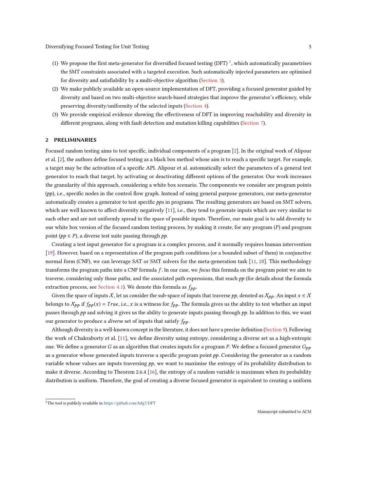- ([1](#page-3-1)) We propose the first meta-generator for diversified focused testing (DFT) <sup>1</sup>, which automatically parametrises the SMT constraints associated with a targeted execution. Such automatically injected parameters are optimised for diversity and satisfiability by a multi-objective algorithm [\(Section 3\)](#page-4-0).
- (2) We make publicly available an open-source implementation of DFT, providing a focused generator guided by diversity and based on two multi-objective search-based strategies that improve the generator's efficiency, while preserving diversity/uniformity of the selected inputs [\(Section 4\)](#page-8-2).
- (3) We provide empirical evidence showing the effectiveness of DFT in improving reachability and diversity in different programs, along with fault detection and mutation killing capabilities [\(Section 7\)](#page-13-1).

# <span id="page-3-0"></span>2 PRELIMINARIES

Focused random testing aims to test specific, individual components of a program [\[2\]](#page-21-1). In the original work of Alipour et al. [\[2\]](#page-21-1), the authors define focused testing as a black box method whose aim is to reach a specific target. For example, a target may be the activation of a specific API. Alipour et al. automatically select the parameters of a general test generator to reach that target, by activating or deactivating different options of the generator. Our work increases the granularity of this approach, considering a white box scenario. The components we consider are program points  $(pp)$ , i.e., specific nodes in the control flow graph. Instead of using general purpose generators, our meta-generator automatically creates a generator to test specific pps in programs. The resulting generators are based on SMT solvers, which are well known to affect diversity negatively [\[11\]](#page-22-3), i.e., they tend to generate inputs which are very similar to each other and are not uniformly spread in the space of possible inputs. Therefore, our main goal is to add diversity to our white box version of the focused random testing process, by making it create, for any program (P) and program point ( $pp \in P$ ), a diverse test suite passing through  $pp$ .

Creating a test input generator for a program is a complex process, and it normally requires human intervention [\[19\]](#page-22-2). However, based on a representation of the program path conditions (or a bounded subset of them) in conjunctive normal form (CNF), we can leverage SAT or SMT solvers for the meta-generation task [\[11,](#page-22-3) [28\]](#page-22-4). This methodology transforms the program paths into a CNF formula f. In our case, we focus this formula on the program point we aim to traverse, considering only those paths, and the associated path expressions, that reach  $pp$  (for details about the formula extraction process, see [Section 4.1\)](#page-8-0). We denote this formula as  $f_{pp}$ .

Given the space of inputs X, let us consider the sub-space of inputs that traverse pp, denoted as  $\chi_{pp}$ . An input  $x \in X$ belongs to  $X_{pp}$  if  $f_{pp}(x) = True$ , i.e., x is a witness for  $f_{pp}$ . The formula gives us the ability to test whether an input passes through pp and solving it gives us the ability to generate inputs passing through pp. In addition to this, we want our generator to produce a *diverse* set of inputs that satisfy  $f_{pp}$ .

Although diversity is a well-known concept in the literature, it does not have a precise definition [\(Section 9\)](#page-19-0). Following the work of Chakraborty et al. [\[11\]](#page-22-3), we define diversity using entropy, considering a diverse set as a high-entropic one. We define a generator G as an algorithm that creates inputs for a program P. We define a focused generator  $G_{pp}$ as a generator whose generated inputs traverse a specific program point  $pp$ . Considering the generator as a random variable whose values are inputs traversing  $pp$ , we want to maximise the entropy of its probability distribution to make it diverse. According to Theorem 2.6.4 [\[16\]](#page-22-5), the entropy of a random variable is maximum when its probability distribution is uniform. Therefore, the goal of creating a diverse focused generator is equivalent to creating a uniform

<span id="page-3-1"></span> $^1$  The tool is publicly available in <https://github.com/hdg7/DFT>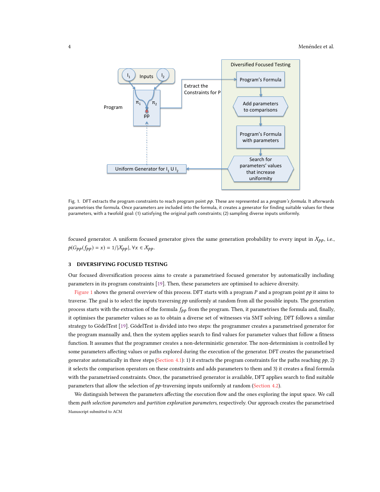<span id="page-4-1"></span>

Fig. 1. DFT extracts the program constraints to reach program point pp. These are represented as a program's formula. It afterwards parametrises the formula. Once parameters are included into the formula, it creates a generator for finding suitable values for these parameters, with a twofold goal: (1) satisfying the original path constraints; (2) sampling diverse inputs uniformly.

focused generator. A uniform focused generator gives the same generation probability to every input in  $X_{pp}$ , i.e.,  $p(G_{pp}(f_{pp}) = x) = 1/|\mathcal{X}_{pp}|, \forall x \in \mathcal{X}_{pp}.$ 

#### <span id="page-4-0"></span>3 DIVERSIFYING FOCUSED TESTING

Our focused diversification process aims to create a parametrised focused generator by automatically including parameters in its program constraints [\[19\]](#page-22-2). Then, these parameters are optimised to achieve diversity.

[Figure 1](#page-4-1) shows the general overview of this process. DFT starts with a program  $P$  and a program point  $pp$  it aims to traverse. The goal is to select the inputs traversing pp uniformly at random from all the possible inputs. The generation process starts with the extraction of the formula  $f_{pp}$  from the program. Then, it parametrises the formula and, finally, it optimises the parameter values so as to obtain a diverse set of witnesses via SMT solving. DFT follows a similar strategy to GödelTest [\[19\]](#page-22-2). GödelTest is divided into two steps: the programmer creates a parametrised generator for the program manually and, then the system applies search to find values for parameter values that follow a fitness function. It assumes that the programmer creates a non-deterministic generator. The non-determinism is controlled by some parameters affecting values or paths explored during the execution of the generator. DFT creates the parametrised generator automatically in three steps [\(Section 4.1\)](#page-8-0): 1) it extracts the program constraints for the paths reaching  $pp$ , 2) it selects the comparison operators on these constraints and adds parameters to them and 3) it creates a final formula with the parametrised constraints. Once, the parametrised generator is available, DFT applies search to find suitable parameters that allow the selection of pp-traversing inputs uniformly at random [\(Section 4.2\)](#page-8-1).

We distinguish between the parameters affecting the execution flow and the ones exploring the input space. We call them path selection parameters and partition exploration parameters, respectively. Our approach creates the parametrised Manuscript submitted to ACM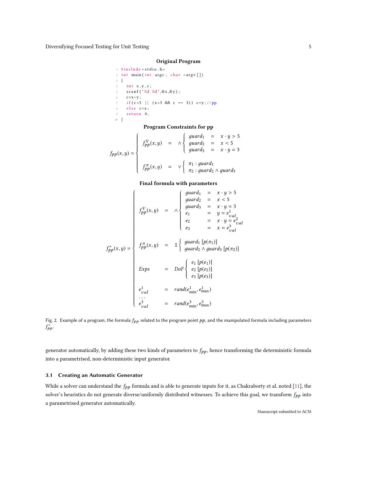# Original Program

<span id="page-5-1"></span> $_1$ # include < stdio .h> 2 int main (int argc, char \*argv [])  $3 \quad \left\{$  $4$  int  $x, y, c$ ; 5  $\arctan f$  ( "%d %d", & x, & y); 6 **c** =  $x * y$ ; 7 if  $(c > 5$  | |  $(x < 5 \&c == 3)$  )  $c=y$ ; //pp  $8$  else  $c = x$ :  $9$  return  $0$ : 10 }

# Program Constraints for pp

$$
f_{pp}(x,y) = \begin{cases} f_{pp}^{V}(x,y) = \Lambda \begin{cases} \text{guard}_1 = x \cdot y > 5 \\ \text{guard}_2 = x < 5 \\ \text{guard}_3 = x \cdot y = 3 \end{cases} \\ f_{pp}^{T}(x,y) = \Lambda \begin{cases} \pi_1 : \text{guard}_1 \\ \pi_2 : \text{guard}_2 \wedge \text{guard}_3 \end{cases} \end{cases}
$$

J

#### Final formula with parameters

$$
f_{pp}^{*}(x,y) = \begin{cases} \n\int \begin{cases} \n\begin{cases} \n\begin{cases} \n\begin{cases} \n\begin{cases} \n\begin{cases} \n\begin{cases} \n\begin{cases} \n\begin{cases} \n\begin{cases} \n\begin{cases} \n\begin{cases} \n\begin{cases} \n\begin{cases} \n\begin{cases} \n\begin{cases} \n\begin{cases} \n\begin{cases} \n\begin{cases} \n\begin{cases} \n\begin{cases} \n\begin{cases} \n\begin{cases} \n\begin{cases} \n\begin{cases} \n\begin{cases} \n\begin{cases} \n\begin{cases} \n\begin{cases} \n\begin{cases} \n\begin{cases} \n\begin{cases} \n\begin{cases} \n\begin{cases} \n\begin{cases} \n\begin{cases} \n\begin{cases} \n\begin{cases} \n\begin{cases} \n\begin{cases} \n\begin{cases} \n\begin{cases} \n\begin{cases} \n\begin{cases} \n\begin{cases} \n\begin{cases} \n\begin{cases} \n\begin{cases} \n\begin{cases} \n\begin{cases} \n\begin{cases} \n\begin{cases} \n\begin{cases} \n\begin{cases} \n\begin{cases} \n\begin{cases} \n\begin{cases} \n\begin{cases} \n\begin{cases} \n\begin{cases} \n\begin{cases} \n\begin{cases} \n\begin{cases} \n\begin{cases} \n\begin{cases} \n\begin{cases} \n\begin{cases} \n\begin{cases} \n\begin{cases} \n\begin{cases} \n\begin{cases} \n\begin{cases} \n\begin{cases} \n\begin{cases} \n\begin{cases} \n\begin{cases} \n\begin{cases} \n\begin{cases} \n\begin{cases} \n\begin{cases} \n\begin{cases} \n\begin{cases} \n\begin{cases} \n\begin{cases} \n\begin{cases} \n\begin{cases} \n\begin{cases} \n\begin{cases} \n\begin{cases} \n\begin{cases} \n\begin{cases} \n\begin{cases} \n\begin{cases} \n\begin{cases} \n\begin{cases} \n\begin{cases} \n\begin{cases} \n\begin{cases} \n\begin{cases} \n\begin{cases} \n\begin{{cases} \n\begin{{cases} \n\begin{{cases} \n\begin{{cases} \n\begin{{cases} \
$$

Fig. 2. Example of a program, the formula  $f_{pp}$  related to the program point  $pp$ , and the manipulated formula including parameters  $f_{pp}^*$ .

generator automatically, by adding these two kinds of parameters to  $f_{pp}$ , hence transforming the deterministic formula into a parametrised, non-deterministic input generator.

# <span id="page-5-0"></span>3.1 Creating an Automatic Generator

While a solver can understand the  $f_{pp}$  formula and is able to generate inputs for it, as Chakraborty et al. noted [\[11\]](#page-22-3), the solver's heuristics do not generate diverse/uniformly distributed witnesses. To achieve this goal, we transform  $f_{pp}$  into a parametrised generator automatically.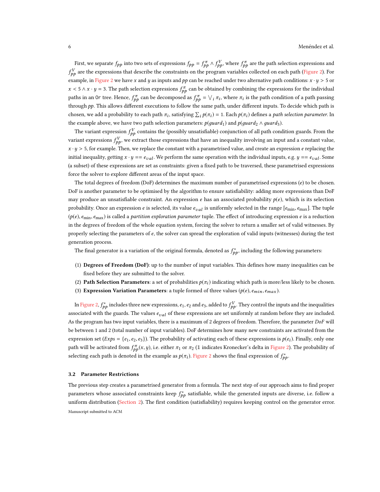First, we separate  $f_{pp}$  into two sets of expressions  $f_{pp} = f_{pp}^{\pi} \wedge f_{pp}^{V}$ , where  $f_{pp}^{\pi}$  are the path selection expressions and  $f_{PP}^V$  are the expressions that describe the constraints on the program variables collected on each path [\(Figure 2\)](#page-5-1). For example, in [Figure 2](#page-5-1) we have x and y as inputs and pp can be reached under two alternative path conditions:  $x \cdot y > 5$  or  $x < 5 \wedge x \cdot y = 3$ . The path selection expressions  $f_{pp}^{\pi}$  can be obtained by combining the expressions for the individual paths in an Or tree. Hence,  $f_{pp}^{\pi}$  can be decomposed as  $f_{pp}^{\pi} = \bigvee_i \pi_i$ , where  $\pi_i$  is the path condition of a path passing through  $pp$ . This allows different executions to follow the same path, under different inputs. To decide which path is chosen, we add a probability to each path  $\pi_i$ , satisfying  $\sum_i p(\pi_i) = 1$ . Each  $p(\pi_i)$  defines a *path selection parameter*. In the example above, we have two path selection parameters:  $p(guard_1)$  and  $p(guard_2 \wedge guard_3)$ .

The variant expression  $f_{pp}^V$  contains the (possibly unsatisfiable) conjunction of all path condition guards. From the variant expressions  $f_{PP}^V$ , we extract those expressions that have an inequality involving an input and a constant value,  $x \cdot y > 5$ , for example. Then, we replace the constant with a parametrised value, and create an expression e replacing the initial inequality, getting  $x \cdot y == e_{val}$ . We perform the same operation with the individual inputs, e.g.  $y == e_{val}$ . Some (a subset) of these expressions are set as constraints: given a fixed path to be traversed, these parametrised expressions force the solver to explore different areas of the input space.

The total degrees of freedom (DoF) determines the maximum number of parametrised expressions (e) to be chosen. DoF is another parameter to be optimised by the algorithm to ensure satisfiability: adding more expressions than DoF may produce an unsatisfiable constraint. An expression  $e$  has an associated probability  $p(e)$ , which is its selection probability. Once an expression e is selected, its value  $e_{val}$  is uniformly selected in the range  $[e_{min}, e_{max}]$ . The tuple  $(p(e), e_{min}, e_{max})$  is called a partition exploration parameter tuple. The effect of introducing expression e is a reduction in the degrees of freedom of the whole equation system, forcing the solver to return a smaller set of valid witnesses. By properly selecting the parameters of  $e$ , the solver can spread the exploration of valid inputs (witnesses) during the test generation process.

The final generator is a variation of the original formula, denoted as  $f_{pp}^*$ , including the following parameters:

- (1) Degrees of Freedom (DoF): up to the number of input variables. This defines how many inequalities can be fixed before they are submitted to the solver.
- (2) Path Selection Parameters: a set of probabilities  $p(\pi_i)$  indicating which path is more/less likely to be chosen.
- (3) Expression Variation Parameters: a tuple formed of three values ( $p(e)$ ,  $e_{min}$ ,  $e_{max}$ ).

In [Figure 2,](#page-5-1)  $f_{pp}^*$  includes three new expressions,  $e_1$ ,  $e_2$  and  $e_3$ , added to  $f_{pp}^V$ . They control the inputs and the inequalities associated with the guards. The values  $e_{val}$  of these expressions are set uniformly at random before they are included. As the program has two input variables, there is a maximum of 2 degrees of freedom. Therefore, the parameter DoF will be between 1 and 2 (total number of input variables). DoF determines how many new constraints are activated from the expression set  $(Exps = {e_1, e_2, e_3})$ . The probability of activating each of these expressions is  $p(e_i)$ . Finally, only one path will be activated from  $f_{pp}^{\pi}(x, y)$ , i.e. either  $\pi_1$  or  $\pi_2$  (1 indicates Kronecker's delta in [Figure 2\)](#page-5-1). The probability of selecting each path is denoted in the example as  $p(\pi_i)$ . [Figure 2](#page-5-1) shows the final expression of  $f^*_{pp}$ .

#### <span id="page-6-0"></span>3.2 Parameter Restrictions

The previous step creates a parametrised generator from a formula. The next step of our approach aims to find proper parameters whose associated constraints keep  $f_{pp}^*$  satisfiable, while the generated inputs are diverse, i.e. follow a uniform distribution [\(Section 2\)](#page-3-0). The first condition (satisfiability) requires keeping control on the generator error. Manuscript submitted to ACM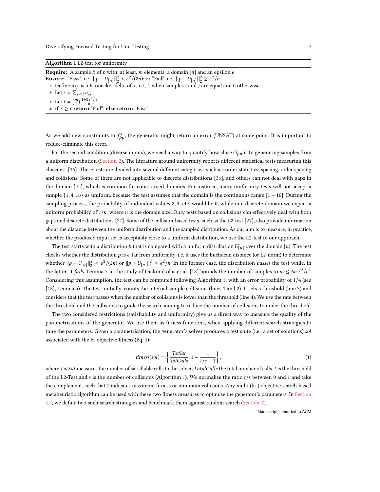<span id="page-7-0"></span>Algorithm 1 L2-test for uniformity

**Require:** A sample  $\bar{x}$  of  $p$  with, at least, m elements; a domain [n] and an epsilon  $\epsilon$ 

- Ensure: "Pass", i.e.,  $||p U_{[n]}||_2^2 < \epsilon^2/(2n)$ ; or "Fail", i.e.,  $||p U_{[n]}||_2^2 \ge \epsilon^2/n$
- 1: Define  $\sigma_{ij}$  as a Kronecker delta of  $\bar{x}$ , i.e., 1 when samples *i* and *j* are equal and 0 otherwise.

2: Let  $s = \sum_{r=1}^{s}$ 

```
3: Let t = \binom{m}{2} \frac{1+3\epsilon^2/4}{n}<br>4. if \epsilon > t return "Eq.
```
4: if  $s \geq t$  return "Fail"; else return "Pass"

As we add new constraints to  $f_{pp}^*$ , the generator might return an error (UNSAT) at some point. It is important to reduce/eliminate this error.

For the second condition (diverse inputs), we need a way to quantify how close  $G_{pp}$  is to generating samples from a uniform distribution [\(Section 2\)](#page-3-0). The literature around uniformity reports different statistical tests measuring this closeness [\[36\]](#page-22-6). These tests are divided into several different categories, such as: order statistics, spacing, order spacing and collisions. Some of them are not applicable to discrete distributions [\[36\]](#page-22-6), and others can not deal with gaps in the domain [\[42\]](#page-23-6), which is common for constrained domains. For instance, many uniformity tests will not accept a sample {1, 4, 16} as uniform, because the test assumes that the domain is the continuous range [1 − 16]. During the sampling process, the probability of individual values <sup>2</sup>, <sup>3</sup>, etc. would be 0, while in a discrete domain we expect a uniform probability of  $1/n$ , where n is the domain size. Only tests based on collisions can effectively deal with both gaps and discrete distributions [\[27\]](#page-22-7). Some of the collision-based tests, such as the L2-test [\[27\]](#page-22-7), also provide information about the distance between the uniform distribution and the sampled distribution. As our aim is to measure, in practice, whether the produced input set is acceptably close to a uniform distribution, we use the L2-test in our approach.

The test starts with a distribution p that is compared with a uniform distribution  $U_{[n]}$  over the domain [n]. The test checks whether the distribution  $p$  is  $\epsilon$ -far from uniformity, i.e. it uses the Euclidean distance (or L2-norm) to determine whether  $||p - U_{[n]}||_2^2 < \epsilon^2/(2n)$  or  $||p - U_{[n]}||_2^2 \ge \epsilon^2/n$ . In the former case, the distribution passes the test while, in the latter, it fails. Lemma 5 in the study of Diakonikolas et al. [\[18\]](#page-22-8) bounds the number of samples to  $m \le 6n^{1/2}/\epsilon^2$ . Considering this assumption, the test can be computed following Algorithm [1,](#page-7-0) with an error probability of 1/4 (see [\[18\]](#page-22-8), Lemma 5). The test, initially, counts the internal sample collisions (lines 1 and 2). It sets a threshold (line 3) and considers that the test passes when the number of collisions is lower than the threshold (line 4). We use the rate between the threshold and the collisions to guide the search, aiming to reduce the number of collisions to under the threshold.

The two considered restrictions (satisfiability and uniformity) give us a direct way to measure the quality of the parametrisations of the generator. We use them as fitness functions, when applying different search strategies to tune the parameters. Given a parametrisation, the generator's solver produces a test suite (i.e., a set of solutions) sol associated with the bi-objective fitness (Eq. 1):

<span id="page-7-1"></span>
$$
fitness(sol) = \left\{ \frac{Totals}{Totals}, 1 - \frac{1}{t/s + 1} \right\},\tag{1}
$$

where TotSat measures the number of satisfiable calls to the solver, TotalCalls the total number of calls, t is the threshold of the L2-Test and s is the number of collisions (Algorithm [1\)](#page-7-0). We normalise the ratio  $t/s$  between 0 and 1 and take the complement, such that 1 indicates maximum fitness or minimum collisions. Any multi (bi-) objective search-based metaheuristic algorithm can be used with these two fitness measures to optimise the generator's parameters. In [Section](#page-8-1) [4.2,](#page-8-1) we define two such search strategies and benchmark them against random search [\(Section 7\)](#page-13-1).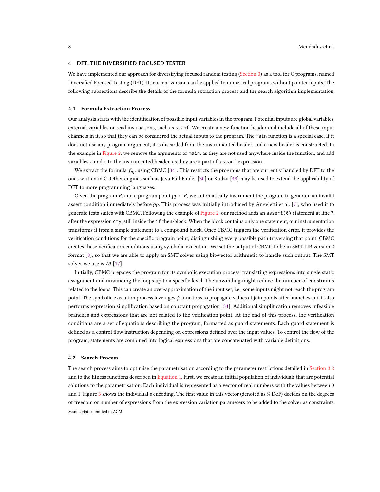#### <span id="page-8-2"></span>4 DFT: THE DIVERSIFIED FOCUSED TESTER

We have implemented our approach for diversifying focused random testing [\(Section 3\)](#page-4-0) as a tool for C programs, named Diversified Focused Testing (DFT). Its current version can be applied to numerical programs without pointer inputs. The following subsections describe the details of the formula extraction process and the search algorithm implementation.

#### <span id="page-8-0"></span>4.1 Formula Extraction Process

Our analysis starts with the identification of possible input variables in the program. Potential inputs are global variables, external variables or read instructions, such as scanf. We create a new function header and include all of these input channels in it, so that they can be considered the actual inputs to the program. The main function is a special case. If it does not use any program argument, it is discarded from the instrumented header, and a new header is constructed. In the example in [Figure 2,](#page-5-1) we remove the arguments of main, as they are not used anywhere inside the function, and add variables a and b to the instrumented header, as they are a part of a scanf expression.

We extract the formula  $f_{pp}$  using CBMC [\[34\]](#page-22-9). This restricts the programs that are currently handled by DFT to the ones written in C. Other engines such as Java PathFinder [\[30\]](#page-22-10) or Kudzu [\[49\]](#page-23-7) may be used to extend the applicability of DFT to more programming languages.

Given the program P, and a program point  $pp \in P$ , we automatically instrument the program to generate an invalid assert condition immediately before  $pp$ . This process was initially introduced by Angeletti et al. [\[7\]](#page-21-2), who used it to generate tests suites with CBMC. Following the example of [Figure 2,](#page-5-1) our method adds an assert ( $\theta$ ) statement at line 7, after the expression c=y, still inside the if then-block. When the block contains only one statement, our instrumentation transforms it from a simple statement to a compound block. Once CBMC triggers the verification error, it provides the verification conditions for the specific program point, distinguishing every possible path traversing that point. CBMC creates these verification conditions using symbolic execution. We set the output of CBMC to be in SMT-LIB version 2 format [\[8\]](#page-21-3), so that we are able to apply an SMT solver using bit-vector arithmetic to handle such output. The SMT solver we use is Z3 [\[17\]](#page-22-11).

Initially, CBMC prepares the program for its symbolic execution process, translating expressions into single static assignment and unwinding the loops up to a specific level. The unwinding might reduce the number of constraints related to the loops. This can create an over-approximation of the input set, i.e., some inputs might not reach the program point. The symbolic execution process leverages ϕ-functions to propagate values at join points after branches and it also performs expression simplification based on constant propagation [\[34\]](#page-22-9). Additional simplification removes infeasible branches and expressions that are not related to the verification point. At the end of this process, the verification conditions are a set of equations describing the program, formatted as guard statements. Each guard statement is defined as a control flow instruction depending on expressions defined over the input values. To control the flow of the program, statements are combined into logical expressions that are concatenated with variable definitions.

#### <span id="page-8-1"></span>4.2 Search Process

The search process aims to optimise the parametrisation according to the parameter restrictions detailed in [Section 3.2](#page-6-0) and to the fitness functions described in [Equation 1.](#page-7-1) First, we create an initial population of individuals that are potential solutions to the parametrisation. Each individual is represented as a vector of real numbers with the values between 0 and 1. Figure [3](#page-9-0) shows the individual's encoding. The first value in this vector (denoted as % DoF) decides on the degrees of freedom or number of expressions from the expression variation parameters to be added to the solver as constraints. Manuscript submitted to ACM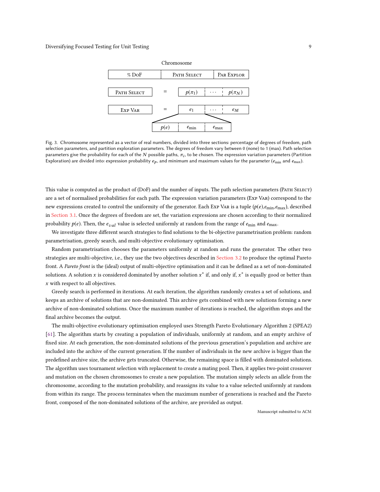<span id="page-9-0"></span>

Fig. 3. Chromosome represented as a vector of real numbers, divided into three sections: percentage of degrees of freedom, path selection parameters, and partition exploration parameters. The degrees of freedom vary between 0 (none) to 1 (max). Path selection parameters give the probability for each of the N possible paths,  $\pi_i$ , to be chosen. The expression variation parameters (Partition  $\mathbb{R}^n$ ) and the expression variation parameters (Partition  $\mathbb{R}^n$ ) Exploration) are divided into: expression probability  $e_p$ , and minimum and maximum values for the parameter ( $e_{min}$  and  $e_{max}$ ).

This value is computed as the product of (DoF) and the number of inputs. The path selection parameters (Path Select) are a set of normalised probabilities for each path. The expression variation parameters (Exp Var) correspond to the new expressions created to control the uniformity of the generator. Each Exp VAR is a tuple  $(p(e), e_{min}, e_{max})$ , described in [Section 3.1.](#page-5-0) Once the degrees of freedom are set, the variation expressions are chosen according to their normalized probability  $p(e)$ . Then, the  $e_{val}$  value is selected uniformly at random from the range of  $e_{min}$  and  $e_{max}$ .

We investigate three different search strategies to find solutions to the bi-objective parametrisation problem: random parametrisation, greedy search, and multi-objective evolutionary optimisation.

Random parametrisation chooses the parameters uniformly at random and runs the generator. The other two strategies are multi-objective, i.e., they use the two objectives described in [Section 3.2](#page-6-0) to produce the optimal Pareto front. A Pareto front is the (ideal) output of multi-objective optimisation and it can be defined as a set of non-dominated solutions. A solution x is considered dominated by another solution  $x^*$  if, and only if,  $x^*$  is equally good or better than x with respect to all objectives.

Greedy search is performed in iterations. At each iteration, the algorithm randomly creates a set of solutions, and keeps an archive of solutions that are non-dominated. This archive gets combined with new solutions forming a new archive of non-dominated solutions. Once the maximum number of iterations is reached, the algorithm stops and the final archive becomes the output.

The multi-objective evolutionary optimisation employed uses Strength Pareto Evolutionary Algorithm 2 (SPEA2) [\[61\]](#page-23-8). The algorithm starts by creating a population of individuals, uniformly at random, and an empty archive of fixed size. At each generation, the non-dominated solutions of the previous generation's population and archive are included into the archive of the current generation. If the number of individuals in the new archive is bigger than the predefined archive size, the archive gets truncated. Otherwise, the remaining space is filled with dominated solutions. The algorithm uses tournament selection with replacement to create a mating pool. Then, it applies two-point crossover and mutation on the chosen chromosomes to create a new population. The mutation simply selects an allele from the chromosome, according to the mutation probability, and reassigns its value to a value selected uniformly at random from within its range. The process terminates when the maximum number of generations is reached and the Pareto front, composed of the non-dominated solutions of the archive, are provided as output.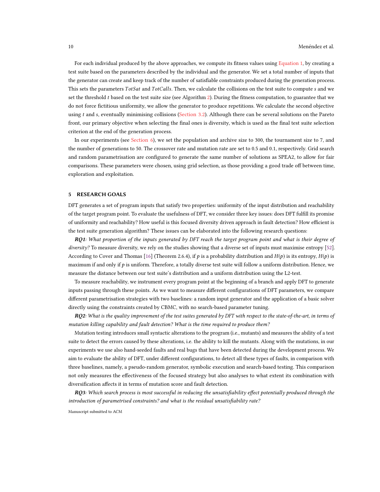For each individual produced by the above approaches, we compute its fitness values using [Equation 1,](#page-7-1) by creating a test suite based on the parameters described by the individual and the generator. We set a total number of inputs that the generator can create and keep track of the number of satisfiable constraints produced during the generation process. This sets the parameters TotSat and TotCalls. Then, we calculate the collisions on the test suite to compute s and we set the threshold  $t$  based on the test suite size (see Algorithm [2\)](#page-5-1). During the fitness computation, to guarantee that we do not force fictitious uniformity, we allow the generator to produce repetitions. We calculate the second objective using  $t$  and s, eventually minimising collisions [\(Section 3.2\)](#page-6-0). Although there can be several solutions on the Pareto front, our primary objective when selecting the final ones is diversity, which is used as the final test suite selection criterion at the end of the generation process.

In our experiments (see [Section 6\)](#page-11-0), we set the population and archive size to 300, the tournament size to 7, and the number of generations to 50. The crossover rate and mutation rate are set to 0.5 and 0.1, respectively. Grid search and random parametrisation are configured to generate the same number of solutions as SPEA2, to allow for fair comparisons. These parameters were chosen, using grid selection, as those providing a good trade off between time, exploration and exploitation.

# <span id="page-10-0"></span>5 RESEARCH GOALS

DFT generates a set of program inputs that satisfy two properties: uniformity of the input distribution and reachability of the target program point. To evaluate the usefulness of DFT, we consider three key issues: does DFT fulfill its promise of uniformity and reachability? How useful is this focused diversity driven approach in fault detection? How efficient is the test suite generation algorithm? These issues can be elaborated into the following research questions:

RQ1: What proportion of the inputs generated by DFT reach the target program point and what is their degree of diversity? To measure diversity, we rely on the studies showing that a diverse set of inputs must maximise entropy [\[52\]](#page-23-9). According to Cover and Thomas [\[16\]](#page-22-5) (Theorem 2.6.4), if p is a probability distribution and  $H(p)$  is its entropy,  $H(p)$  is maximum if and only if  $p$  is uniform. Therefore, a totally diverse test suite will follow a uniform distribution. Hence, we measure the distance between our test suite's distribution and a uniform distribution using the L2-test.

To measure reachability, we instrument every program point at the beginning of a branch and apply DFT to generate inputs passing through these points. As we want to measure different configurations of DFT parameters, we compare different parametrisation strategies with two baselines: a random input generator and the application of a basic solver directly using the constraints created by CBMC, with no search-based parameter tuning.

 $RQ2$ : What is the quality improvement of the test suites generated by DFT with respect to the state-of-the-art, in terms of mutation killing capability and fault detection? What is the time required to produce them?

Mutation testing introduces small syntactic alterations to the program (i.e., mutants) and measures the ability of a test suite to detect the errors caused by these alterations, i.e. the ability to kill the mutants. Along with the mutations, in our experiments we use also hand-seeded faults and real bugs that have been detected during the development process. We aim to evaluate the ability of DFT, under different configurations, to detect all these types of faults, in comparison with three baselines, namely, a pseudo-random generator, symbolic execution and search-based testing. This comparison not only measures the effectiveness of the focused strategy but also analyses to what extent its combination with diversification affects it in terms of mutation score and fault detection.

RQ3: Which search process is most successful in reducing the unsatisfiability effect potentially produced through the introduction of parametrised constraints? and what is the residual unsatisfiability rate?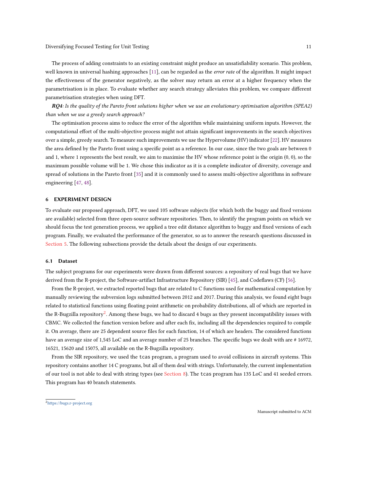The process of adding constraints to an existing constraint might produce an unsatisfiability scenario. This problem, well known in universal hashing approaches [\[11\]](#page-22-3), can be regarded as the error rate of the algorithm. It might impact the effectiveness of the generator negatively, as the solver may return an error at a higher frequency when the parametrisation is in place. To evaluate whether any search strategy alleviates this problem, we compare different parametrisation strategies when using DFT.

RQ4: Is the quality of the Pareto front solutions higher when we use an evolutionary optimisation algorithm (SPEA2) than when we use a greedy search approach?

The optimisation process aims to reduce the error of the algorithm while maintaining uniform inputs. However, the computational effort of the multi-objective process might not attain significant improvements in the search objectives over a simple, greedy search. To measure such improvements we use the Hypervolume (HV) indicator [\[22\]](#page-22-12). HV measures the area defined by the Pareto front using a specific point as a reference. In our case, since the two goals are between 0 and 1, where 1 represents the best result, we aim to maximise the HV whose reference point is the origin (0, 0), so the maximum possible volume will be 1. We chose this indicator as it is a complete indicator of diversity, coverage and spread of solutions in the Pareto front [\[35\]](#page-22-13) and it is commonly used to assess multi-objective algorithms in software engineering [\[47,](#page-23-10) [48\]](#page-23-11).

#### <span id="page-11-0"></span>6 EXPERIMENT DESIGN

To evaluate our proposed approach, DFT, we used 105 software subjects (for which both the buggy and fixed versions are available) selected from three open-source software repositories. Then, to identify the program points on which we should focus the test generation process, we applied a tree edit distance algorithm to buggy and fixed versions of each program. Finally, we evaluated the performance of the generator, so as to answer the research questions discussed in [Section 5.](#page-10-0) The following subsections provide the details about the design of our experiments.

#### 6.1 Dataset

The subject programs for our experiments were drawn from different sources: a repository of real bugs that we have derived from the R-project, the Software-artifact Infrastructure Repository (SIR) [\[45\]](#page-23-4), and Codeflaws (CF) [\[56\]](#page-23-5).

From the R-project, we extracted reported bugs that are related to C functions used for mathematical computation by manually reviewing the subversion logs submitted between 2012 and 2017. During this analysis, we found eight bugs related to statistical functions using floating point arithmetic on probability distributions, all of which are reported in the R-Bugzilla repository<sup>[2](#page-11-1)</sup>. Among these bugs, we had to discard 4 bugs as they present incompatibility issues with CBMC. We collected the function version before and after each fix, including all the dependencies required to compile it. On average, there are 25 dependent source files for each function, 14 of which are headers. The considered functions have an average size of 1,545 LoC and an average number of 25 branches. The specific bugs we dealt with are #16972, 16521, 15620 and 15075, all available on the R-Bugzilla repository.

From the SIR repository, we used the tcas program, a program used to avoid collisions in aircraft systems. This repository contains another 14 C programs, but all of them deal with strings. Unfortunately, the current implementation of our tool is not able to deal with string types (see [Section 8\)](#page-18-0). The tcas program has 135 LoC and 41 seeded errors. This program has 40 branch statements.

<span id="page-11-1"></span><sup>2</sup><https://bugs.r-project.org>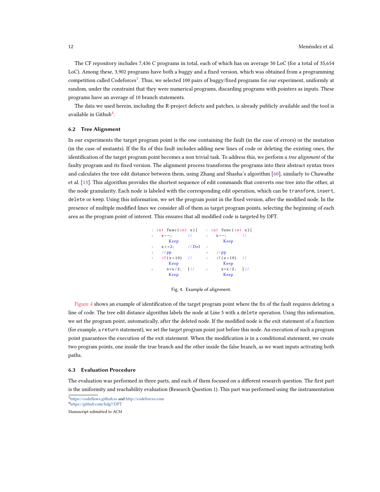The CF repository includes 7,436 C programs in total, each of which has on average 50 LoC (for a total of 35,654 LoC). Among these, 3,902 programs have both a buggy and a fixed version, which was obtained from a programming competition called Codeforces<sup>[3](#page-12-0)</sup>. Thus, we selected 100 pairs of buggy/fixed programs for our experiment, uniformly at random, under the constraint that they were numerical programs, discarding programs with pointers as inputs. These programs have an average of 10 branch statements.

The data we used herein, including the R-project defects and patches, is already publicly available and the tool is available in Github $4$ .

#### <span id="page-12-3"></span>6.2 Tree Alignment

In our experiments the target program point is the one containing the fault (in the case of errors) or the mutation (in the case of mutants). If the fix of this fault includes adding new lines of code or deleting the existing ones, the identification of the target program point becomes a non trivial task. To address this, we perform a tree alignment of the faulty program and its fixed version. The alignment process transforms the programs into their abstract syntax trees and calculates the tree edit distance between them, using Zhang and Shasha's algorithm [\[60\]](#page-23-12), similarly to Chawathe et al. [\[13\]](#page-22-14). This algorithm provides the shortest sequence of edit commands that converts one tree into the other, at the node granularity. Each node is labeled with the corresponding edit operation, which can be transform, insert, delete or keep. Using this information, we set the program point in the fixed version, after the modified node. In the presence of multiple modified lines we consider all of them as target program points, selecting the beginning of each area as the program point of interest. This ensures that all modified code is targeted by DFT.

<span id="page-12-2"></span>



[Figure 4](#page-12-2) shows an example of identification of the target program point where the fix of the fault requires deleting a line of code. The tree edit distance algorithm labels the node at Line 5 with a delete operation. Using this information, we set the program point, automatically, after the deleted node. If the modified node is the exit statement of a function (for example, a return statement), we set the target program point just before this node. An execution of such a program point guarantees the execution of the exit statement. When the modification is in a conditional statement, we create two program points, one inside the true branch and the other inside the false branch, as we want inputs activating both paths.

#### 6.3 Evaluation Procedure

The evaluation was performed in three parts, and each of them focused on a different research question. The first part is the uniformity and reachability evaluation (Research Question 1). This part was performed using the instrumentation

<span id="page-12-1"></span><span id="page-12-0"></span><sup>3</sup><https://codeflaws.github.io> and <http://codeforces.com> <sup>4</sup><https://github.com/hdg7/DFT>

Manuscript submitted to ACM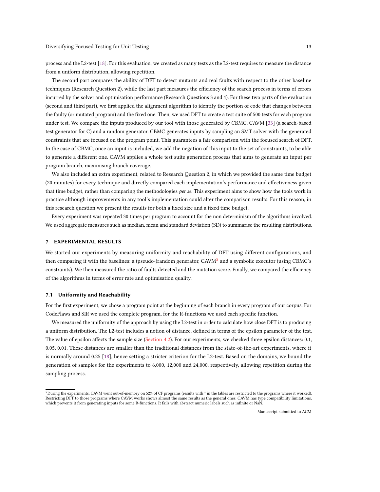process and the L2-test [\[18\]](#page-22-8). For this evaluation, we created as many tests as the L2-test requires to measure the distance from a uniform distribution, allowing repetition.

The second part compares the ability of DFT to detect mutants and real faults with respect to the other baseline techniques (Research Question 2), while the last part measures the efficiency of the search process in terms of errors incurred by the solver and optimisation performance (Research Questions 3 and 4). For these two parts of the evaluation (second and third part), we first applied the alignment algorithm to identify the portion of code that changes between the faulty (or mutated program) and the fixed one. Then, we used DFT to create a test suite of 500 tests for each program under test. We compare the inputs produced by our tool with those generated by CBMC, CAVM [\[33\]](#page-22-15) (a search-based test generator for C) and a random generator. CBMC generates inputs by sampling an SMT solver with the generated constraints that are focused on the program point. This guarantees a fair comparison with the focused search of DFT. In the case of CBMC, once an input is included, we add the negation of this input to the set of constraints, to be able to generate a different one. CAVM applies a whole test suite generation process that aims to generate an input per program branch, maximising branch coverage.

We also included an extra experiment, related to Research Question 2, in which we provided the same time budget (20 minutes) for every technique and directly compared each implementation's performance and effectiveness given that time budget, rather than comparing the methodologies per se. This experiment aims to show how the tools work in practice although improvements in any tool's implementation could alter the comparison results. For this reason, in this research question we present the results for both a fixed size and a fixed time budget.

Every experiment was repeated 30 times per program to account for the non determinism of the algorithms involved. We used aggregate measures such as median, mean and standard deviation (SD) to summarise the resulting distributions.

## <span id="page-13-1"></span>7 EXPERIMENTAL RESULTS

We started our experiments by measuring uniformity and reachability of DFT using different configurations, and then comparing it with the baselines: a (pseudo-)random generator, CAVM<sup>[5](#page-13-2)</sup> and a symbolic executor (using CBMC's constraints). We then measured the ratio of faults detected and the mutation score. Finally, we compared the efficiency of the algorithms in terms of error rate and optimisation quality.

#### <span id="page-13-0"></span>7.1 Uniformity and Reachability

For the first experiment, we chose a program point at the beginning of each branch in every program of our corpus. For CodeFlaws and SIR we used the complete program, for the R-functions we used each specific function.

We measured the uniformity of the approach by using the L2-test in order to calculate how close DFT is to producing a uniform distribution. The L2-test includes a notion of distance, defined in terms of the epsilon parameter of the test. The value of epsilon affects the sample size [\(Section 4.2\)](#page-8-1). For our experiments, we checked three epsilon distances: 0.1, 0.05, 0.01. These distances are smaller than the traditional distances from the state-of-the-art experiments, where it is normally around 0.25 [\[18\]](#page-22-8), hence setting a stricter criterion for the L2-test. Based on the domains, we bound the generation of samples for the experiments to 6,000, 12,000 and 24,000, respectively, allowing repetition during the sampling process.

<span id="page-13-2"></span> $^5$ During the experiments, CAVM went out-of-memory on 52% of CF programs (results with  $*$  in the tables are restricted to the programs where it worked). Restricting DFT to those programs where CAVM works shows almost the same results as the general ones. CAVM has type compatibility limitations, which prevents it from generating inputs for some R-functions. It fails with abstract numeric labels such as infinite or NaN.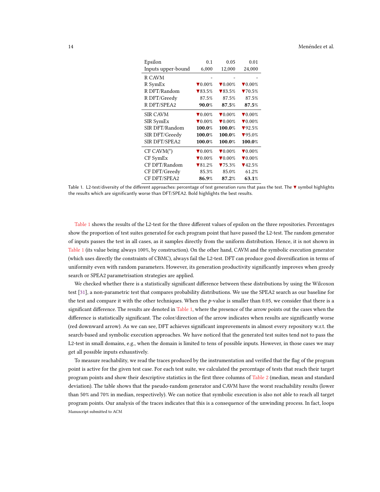#### <span id="page-14-0"></span>14 Menéndez et al.

| Epsilon            | 0.1                         | 0.05                        | 0.01                        |
|--------------------|-----------------------------|-----------------------------|-----------------------------|
| Inputs upper-bound | 6,000                       | 12,000                      | 24,000                      |
| R CAVM             |                             |                             |                             |
| R SymEx            | $\blacktriangledown 0.00\%$ | $\blacktriangledown 0.00\%$ | $\blacktriangledown 0.00\%$ |
| R DFT/Random       | $\blacktriangledown 83.5\%$ | $\blacktriangledown 83.5\%$ | $\blacktriangledown 70.5\%$ |
| R DFT/Greedy       | 87.5%                       | 87.5%                       | 87.5%                       |
| R DFT/SPEA2        | 90.0%                       | 87.5%                       | 87.5%                       |
| <b>SIR CAVM</b>    | $\blacktriangledown 0.00\%$ | $\blacktriangledown 0.00\%$ | $\blacktriangledown 0.00\%$ |
| SIR SymEx          | $\blacktriangledown 0.00\%$ | $\blacktriangledown 0.00\%$ | $\blacktriangledown 0.00\%$ |
| SIR DFT/Random     | 100.0%                      | 100.0%                      | $\P92.5%$                   |
| SIR DFT/Greedy     | 100.0%                      | 100.0%                      | $\blacktriangledown$ 95.0%  |
| SIR DFT/SPEA2      | 100.0%                      | 100.0%                      | 100.0%                      |
| $CF CAVM(*)$       | $\blacktriangledown 0.00\%$ | $\blacktriangledown 0.00\%$ | $\blacktriangledown 0.00\%$ |
| CF SymEx           | $\blacktriangledown 0.00\%$ | $\blacktriangledown 0.00\%$ | $\blacktriangledown 0.00\%$ |
| CF DFT/Random      | $\blacktriangledown 81.2\%$ | 75.3%                       | $\P(42.5%$                  |
| CF DFT/Greedy      | 85.3%                       | 85.0%                       | 61.2%                       |
| CF DFT/SPEA2       | 86.9%                       | 87.2%                       | 63.1%                       |

Table 1. L2-test/diversity of the different approaches: percentage of test generation runs that pass the test. The ▼ symbol highlights the results which are significantly worse than DFT/SPEA2. Bold highlights the best results.

[Table 1](#page-14-0) shows the results of the L2-test for the three different values of epsilon on the three repositories. Percentages show the proportion of test suites generated for each program point that have passed the L2-test. The random generator of inputs passes the test in all cases, as it samples directly from the uniform distribution. Hence, it is not shown in [Table 1](#page-14-0) (its value being always 100%, by construction). On the other hand, CAVM and the symbolic execution generator (which uses directly the constraints of CBMC), always fail the L2-test. DFT can produce good diversification in terms of uniformity even with random parameters. However, its generation productivity significantly improves when greedy search or SPEA2 parametrisation strategies are applied.

We checked whether there is a statistically significant difference between these distributions by using the Wilcoxon test [\[31\]](#page-22-16), a non-parametric test that compares probability distributions. We use the SPEA2 search as our baseline for the test and compare it with the other techniques. When the  $p$ -value is smaller than 0.05, we consider that there is a significant difference. The results are denoted in [Table 1,](#page-14-0) where the presence of the arrow points out the cases when the difference is statistically significant. The color/direction of the arrow indicates when results are significantly worse (red downward arrow). As we can see, DFT achieves significant improvements in almost every repository w.r.t. the search-based and symbolic execution approaches. We have noticed that the generated test suites tend not to pass the L2-test in small domains, e.g., when the domain is limited to tens of possible inputs. However, in those cases we may get all possible inputs exhaustively.

To measure reachability, we read the traces produced by the instrumentation and verified that the flag of the program point is active for the given test case. For each test suite, we calculated the percentage of tests that reach their target program points and show their descriptive statistics in the first three columns of [Table 2](#page-15-0) (median, mean and standard deviation). The table shows that the pseudo-random generator and CAVM have the worst reachability results (lower than 50% and 70% in median, respectively). We can notice that symbolic execution is also not able to reach all target program points. Our analysis of the traces indicates that this is a consequence of the unwinding process. In fact, loops Manuscript submitted to ACM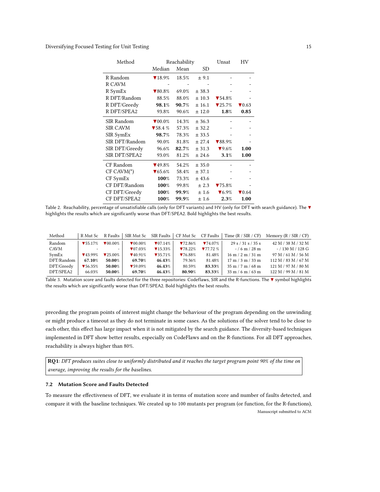### <span id="page-15-0"></span>Diversifying Focused Testing for Unit Testing 15

| Method          | Reachability                |       |            | Unsat                       | HV                        |
|-----------------|-----------------------------|-------|------------|-----------------------------|---------------------------|
|                 | Median                      | Mean  | <b>SD</b>  |                             |                           |
| R Random        | $\P$ 18.9%                  | 18.5% | ± 9.1      |                             |                           |
| R CAVM          |                             |       |            |                             |                           |
| R SymEx         | $\blacktriangledown 80.8\%$ | 69.0% | ± 38.3     |                             |                           |
| R DFT/Random    | 88.5%                       | 88.0% | $\pm$ 10.3 | $\blacktriangledown$ 54.8%  |                           |
| R DFT/Greedy    | 98.1%                       | 90.7% | ± 16.1     | $\blacktriangledown 25.7\%$ | $\blacktriangledown 0.63$ |
| R DFT/SPEA2     | 93.8%                       | 90.6% | ± 12.0     | 1.8%                        | 0.85                      |
| SIR Random      | $\blacktriangledown 00.0\%$ | 14.3% | ± 36.3     |                             |                           |
| <b>SIR CAVM</b> | $\blacktriangledown$ 58.4 % | 57.3% | ± 32.2     |                             |                           |
| SIR SymEx       | 98.7%                       | 78.3% | ± 33.5     |                             |                           |
| SIR DFT/Random  | 90.0%                       | 81.8% | ± 27.4     | $\blacktriangledown 88.9\%$ |                           |
| SIR DFT/Greedy  | 96.6%                       | 82.7% | ± 31.3     | $\blacktriangledown 9.6\%$  | 1.00                      |
| SIR DFT/SPEA2   | 93.0%                       | 81.2% | ± 24.6     | 3.1%                        | 1.00                      |
| CF Random       | $\P$ 49.8%                  | 54.2% | ± 35.0     |                             |                           |
| $CF CAVM(*)$    | $\blacktriangledown 65.6\%$ | 58.4% | ± 37.1     |                             |                           |
| CF SymEx        | 100%                        | 73.3% | ± 43.6     |                             |                           |
| CF DFT/Random   | 100%                        | 99.8% | ± 2.3      | $75.8\%$                    |                           |
| CF DFT/Greedy   | 100%                        | 99.9% | ±1.6       | $\blacktriangledown$ 6.9%   | $\blacktriangledown 0.64$ |
| CF DFT/SPEA2    | 100%                        | 99.9% | ±1.6       | 2.3%                        | 1.00                      |

Table 2. Reachability, percentage of unsatisfiable calls (only for DFT variants) and HV (only for DFT with search guidance). The ▼ highlights the results which are significantly worse than DFT/SPEA2. Bold highlights the best results.

<span id="page-15-1"></span>

| Method     | R Mut Sc                    | R Faults                     |                              |                              |        |        | SIR Mut Sc SIR Faults $\vert$ CF Mut Sc CF Faults $\vert$ Time (R / SIR / CF) | Memory $(R / SIR / CF)$ |
|------------|-----------------------------|------------------------------|------------------------------|------------------------------|--------|--------|-------------------------------------------------------------------------------|-------------------------|
| Random     | $\blacktriangledown$ 55.17% | $\blacktriangledown 00.00\%$ | $\blacktriangledown 00.00\%$ | $\P(07.14\%$                 | 72.86% | 74.07% | 29 s / 31 s / 35 s                                                            | 42 M / 38 M / 32 M      |
| CAVM       |                             | ۰.                           | $\blacktriangledown 07.03\%$ | $\blacktriangledown$ 15.33%  | 78.22% | 77.72% | $-/6$ m $/28$ m                                                               | $-$ / 130 M / 128 G     |
| SymEx      | $\P$ 43.99%                 | $\blacktriangledown 25.00\%$ | $\P(40.91\%$                 | $\blacktriangledown 35.71\%$ | 76.88% | 81.48% | $16 \text{ m} / 2 \text{ m} / 31 \text{ m}$                                   | 97 M / 61 M / 56 M      |
| DFT/Random | 67.10%                      | 50.00%                       | 69.70%                       | 46.43%                       | 79.36% | 81.48% | $17 \text{ m} / 3 \text{ m} / 33 \text{ m}$                                   | 112 M / 83 M / 67 M     |
| DFT/Greedy | $\blacktriangledown$ 56.35% | 50.00%                       | $\P$ 59.09%                  | 46.43%                       | 80.59% | 83.33% | $35 \text{ m} / 7 \text{ m} / 68 \text{ m}$                                   | 121 M / 97 M / 80 M     |
| DFT/SPEA2  | 66.03%                      | 50.00%                       | 69.70%                       | 46.43%                       | 80.90% | 83.33% | $33 \text{ m} / 6 \text{ m} / 63 \text{ m}$                                   | 122 M / 99 M / 81 M     |

Table 3. Mutation score and faults detected for the three repositories: Codeflaws, SIR and the R-functions. The ▼ symbol highlights the results which are significantly worse than DFT/SPEA2. Bold highlights the best results.

preceding the program points of interest might change the behaviour of the program depending on the unwinding or might produce a timeout as they do not terminate in some cases. As the solutions of the solver tend to be close to each other, this effect has large impact when it is not mitigated by the search guidance. The diversity-based techniques implemented in DFT show better results, especially on CodeFlaws and on the R-functions. For all DFT approaches, reachability is always higher than 80%.

RQ1: DFT produces suites close to uniformly distributed and it reaches the target program point 90% of the time on average, improving the results for the baselines.

# 7.2 Mutation Score and Faults Detected

To measure the effectiveness of DFT, we evaluate it in terms of mutation score and number of faults detected, and compare it with the baseline techniques. We created up to 100 mutants per program (or function, for the R-functions), Manuscript submitted to ACM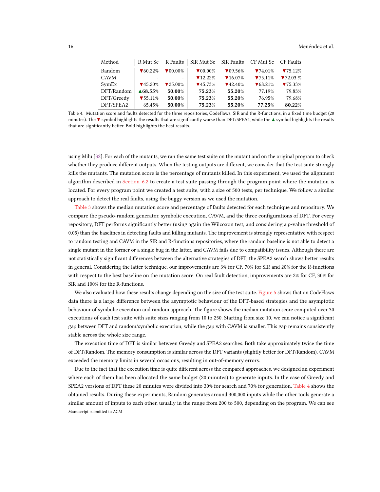<span id="page-16-0"></span>

| Method     | R Mut Sc                    | R Faults                     | SIR Mut Sc SIR Faults        |                              | CF Mut Sc                   | CF Faults |
|------------|-----------------------------|------------------------------|------------------------------|------------------------------|-----------------------------|-----------|
| Random     | $\blacktriangledown$ 60.22% | $\blacktriangledown 00.00\%$ | $\blacktriangledown 00.00\%$ | $\blacktriangledown 09.56\%$ | 74.01%                      | 75.12%    |
| CAVM       |                             | $\overline{\phantom{0}}$     | $\blacktriangledown$ 12.22%  | $\P$ 16.07%                  | 75.11%                      | 72.03%    |
| SymEx      | $\P$ 45.20%                 | $\blacktriangledown 25.00\%$ | $\blacktriangledown$ 45.73%  | $\P(42.40\%$                 | $\blacktriangledown$ 68.21% | 75.33%    |
| DFT/Random | ▲68.55%                     | 50.00%                       | 75.23%                       | 55.20%                       | 77.19%                      | 79.83%    |
| DFT/Greedy | $\blacktriangledown$ 55.11% | 50.00%                       | 75.23%                       | 55.20%                       | 76.95%                      | 79.68%    |
| DFT/SPEA2  | 65.45%                      | 50.00%                       | 75.23%                       | 55.20%                       | 77.25%                      | 80.22%    |

Table 4. Mutation score and faults detected for the three repositories, Codeflaws, SIR and the R-functions, in a fixed time budget (20 minutes). The ▼ symbol highlights the results that are significantly worse than DFT/SPEA2, while the ▲ symbol highlights the results that are significantly better. Bold highlights the best results.

using Milu [\[32\]](#page-22-17). For each of the mutants, we ran the same test suite on the mutant and on the original program to check whether they produce different outputs. When the testing outputs are different, we consider that the test suite strongly kills the mutants. The mutation score is the percentage of mutants killed. In this experiment, we used the alignment algorithm described in [Section 6.2](#page-12-3) to create a test suite passing through the program point where the mutation is located. For every program point we created a test suite, with a size of 500 tests, per technique. We follow a similar approach to detect the real faults, using the buggy version as we used the mutation.

[Table 3](#page-15-1) shows the median mutation score and percentage of faults detected for each technique and repository. We compare the pseudo-random generator, symbolic execution, CAVM, and the three configurations of DFT. For every repository, DFT performs significantly better (using again the Wilcoxon test, and considering a p-value threshold of 0.05) than the baselines in detecting faults and killing mutants. The improvement is strongly representative with respect to random testing and CAVM in the SIR and R-functions repositories, where the random baseline is not able to detect a single mutant in the former or a single bug in the latter, and CAVM fails due to compatibility issues. Although there are not statistically significant differences between the alternative strategies of DFT, the SPEA2 search shows better results in general. Considering the latter technique, our improvements are 3% for CF, 70% for SIR and 20% for the R-functions with respect to the best baseline on the mutation score. On real fault detection, improvements are 2% for CF, 30% for SIR and 100% for the R-functions.

We also evaluated how these results change depending on the size of the test suite. [Figure 5](#page-17-0) shows that on CodeFlaws data there is a large difference between the asymptotic behaviour of the DFT-based strategies and the asymptotic behaviour of symbolic execution and random approach. The figure shows the median mutation score computed over 30 executions of each test suite with suite sizes ranging from 10 to 250. Starting from size 10, we can notice a significant gap between DFT and random/symbolic execution, while the gap with CAVM is smaller. This gap remains consistently stable across the whole size range.

The execution time of DFT is similar between Greedy and SPEA2 searches. Both take approximately twice the time of DFT/Random. The memory consumption is similar across the DFT variants (slightly better for DFT/Random). CAVM exceeded the memory limits in several occasions, resulting in out-of-memory errors.

Due to the fact that the execution time is quite different across the compared approaches, we designed an experiment where each of them has been allocated the same budget (20 minutes) to generate inputs. In the case of Greedy and SPEA2 versions of DFT these 20 minutes were divided into 30% for search and 70% for generation. [Table 4](#page-16-0) shows the obtained results. During these experiments, Random generates around 300,000 inputs while the other tools generate a similar amount of inputs to each other, usually in the range from 200 to 500, depending on the program. We can see Manuscript submitted to ACM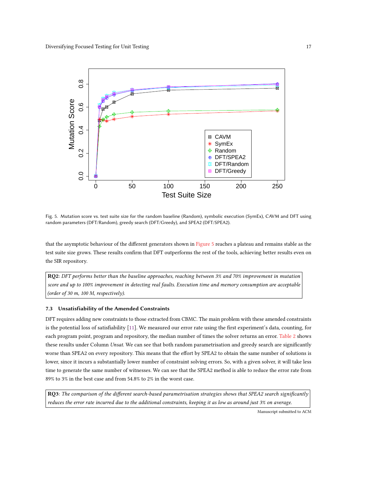<span id="page-17-0"></span>

Fig. 5. Mutation score vs. test suite size for the random baseline (Random), symbolic execution (SymEx), CAVM and DFT using random parameters (DFT/Random), greedy search (DFT/Greedy), and SPEA2 (DFT/SPEA2).

that the asymptotic behaviour of the different generators shown in [Figure 5](#page-17-0) reaches a plateau and remains stable as the test suite size grows. These results confirm that DFT outperforms the rest of the tools, achieving better results even on the SIR repository.

RQ2: DFT performs better than the baseline approaches, reaching between 3% and 70% improvement in mutation score and up to 100% improvement in detecting real faults. Execution time and memory consumption are acceptable (order of 30 m, 100 M, respectively).

# 7.3 Unsatisfiability of the Amended Constraints

DFT requires adding new constraints to those extracted from CBMC. The main problem with these amended constraints is the potential loss of satisfiability [\[11\]](#page-22-3). We measured our error rate using the first experiment's data, counting, for each program point, program and repository, the median number of times the solver returns an error. [Table 2](#page-15-0) shows these results under Column Unsat. We can see that both random parametrisation and greedy search are significantly worse than SPEA2 on every repository. This means that the effort by SPEA2 to obtain the same number of solutions is lower, since it incurs a substantially lower number of constraint solving errors. So, with a given solver, it will take less time to generate the same number of witnesses. We can see that the SPEA2 method is able to reduce the error rate from 89% to 3% in the best case and from 54.8% to 2% in the worst case.

RQ3: The comparison of the different search-based parametrisation strategies shows that SPEA2 search significantly reduces the error rate incurred due to the additional constraints, keeping it as low as around just 3% on average.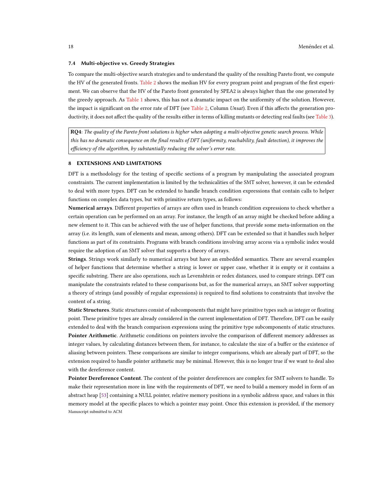#### 7.4 Multi-objective vs. Greedy Strategies

To compare the multi-objective search strategies and to understand the quality of the resulting Pareto front, we compute the HV of the generated fronts. [Table 2](#page-15-0) shows the median HV for every program point and program of the first experiment. We can observe that the HV of the Pareto front generated by SPEA2 is always higher than the one generated by the greedy approach. As [Table 1](#page-14-0) shows, this has not a dramatic impact on the uniformity of the solution. However, the impact is significant on the error rate of DFT (see [Table 2,](#page-15-0) Column Unsat). Even if this affects the generation pro-ductivity, it does not affect the quality of the results either in terms of killing mutants or detecting real faults (see [Table 3\)](#page-15-1).

RQ4: The quality of the Pareto front solutions is higher when adopting a multi-objective genetic search process. While this has no dramatic consequence on the final results of DFT (uniformity, reachability, fault detection), it improves the efficiency of the algorithm, by substantially reducing the solver's error rate.

# <span id="page-18-0"></span>8 EXTENSIONS AND LIMITATIONS

DFT is a methodology for the testing of specific sections of a program by manipulating the associated program constraints. The current implementation is limited by the technicalities of the SMT solver, however, it can be extended to deal with more types. DFT can be extended to handle branch condition expressions that contain calls to helper functions on complex data types, but with primitive return types, as follows:

Numerical arrays. Different properties of arrays are often used in branch condition expressions to check whether a certain operation can be performed on an array. For instance, the length of an array might be checked before adding a new element to it. This can be achieved with the use of helper functions, that provide some meta-information on the array (i.e. its length, sum of elements and mean, among others). DFT can be extended so that it handles such helper functions as part of its constraints. Programs with branch conditions involving array access via a symbolic index would require the adoption of an SMT solver that supports a theory of arrays.

Strings. Strings work similarly to numerical arrays but have an embedded semantics. There are several examples of helper functions that determine whether a string is lower or upper case, whether it is empty or it contains a specific substring. There are also operations, such as Levenshtein or redex distances, used to compare strings. DFT can manipulate the constraints related to these comparisons but, as for the numerical arrays, an SMT solver supporting a theory of strings (and possibly of regular expressions) is required to find solutions to constraints that involve the content of a string.

Static Structures. Static structures consist of subcomponents that might have primitive types such as integer or floating point. These primitive types are already considered in the current implementation of DFT. Therefore, DFT can be easily extended to deal with the branch comparison expressions using the primitive type subcomponents of static structures. Pointer Arithmetic. Arithmetic conditions on pointers involve the comparison of different memory addresses as integer values, by calculating distances between them, for instance, to calculate the size of a buffer or the existence of aliasing between pointers. These comparisons are similar to integer comparisons, which are already part of DFT, so the extension required to handle pointer arithmetic may be minimal. However, this is no longer true if we want to deal also with the dereference content.

Pointer Dereference Content. The content of the pointer dereferences are complex for SMT solvers to handle. To make their representation more in line with the requirements of DFT, we need to build a memory model in form of an abstract heap [\[53\]](#page-23-13) containing a NULL pointer, relative memory positions in a symbolic address space, and values in this memory model at the specific places to which a pointer may point. Once this extension is provided, if the memory Manuscript submitted to ACM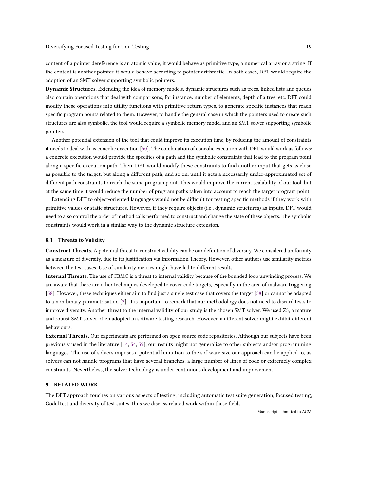content of a pointer dereference is an atomic value, it would behave as primitive type, a numerical array or a string. If the content is another pointer, it would behave according to pointer arithmetic. In both cases, DFT would require the adoption of an SMT solver supporting symbolic pointers.

Dynamic Structures. Extending the idea of memory models, dynamic structures such as trees, linked lists and queues also contain operations that deal with comparisons, for instance: number of elements, depth of a tree, etc. DFT could modify these operations into utility functions with primitive return types, to generate specific instances that reach specific program points related to them. However, to handle the general case in which the pointers used to create such structures are also symbolic, the tool would require a symbolic memory model and an SMT solver supporting symbolic pointers.

Another potential extension of the tool that could improve its execution time, by reducing the amount of constraints it needs to deal with, is concolic execution [\[50\]](#page-23-14). The combination of concolic execution with DFT would work as follows: a concrete execution would provide the specifics of a path and the symbolic constraints that lead to the program point along a specific execution path. Then, DFT would modify these constraints to find another input that gets as close as possible to the target, but along a different path, and so on, until it gets a necessarily under-approximated set of different path constraints to reach the same program point. This would improve the current scalability of our tool, but at the same time it would reduce the number of program paths taken into account to reach the target program point.

Extending DFT to object-oriented languages would not be difficult for testing specific methods if they work with primitive values or static structures. However, if they require objects (i.e., dynamic structures) as inputs, DFT would need to also control the order of method calls performed to construct and change the state of these objects. The symbolic constraints would work in a similar way to the dynamic structure extension.

#### 8.1 Threats to Validity

Construct Threats. A potential threat to construct validity can be our definition of diversity. We considered uniformity as a measure of diversity, due to its justification via Information Theory. However, other authors use similarity metrics between the test cases. Use of similarity metrics might have led to different results.

Internal Threats. The use of CBMC is a threat to internal validity because of the bounded loop unwinding process. We are aware that there are other techniques developed to cover code targets, especially in the area of malware triggering [\[58\]](#page-23-2). However, these techniques either aim to find just a single test case that covers the target [\[58\]](#page-23-2) or cannot be adapted to a non-binary parametrisation [\[2\]](#page-21-1). It is important to remark that our methodology does not need to discard tests to improve diversity. Another threat to the internal validity of our study is the chosen SMT solver. We used Z3, a mature and robust SMT solver often adopted in software testing research. However, a different solver might exhibit different behaviours.

External Threats. Our experiments are performed on open source code repositories. Although our subjects have been previously used in the literature [\[14,](#page-22-18) [54,](#page-23-15) [59\]](#page-23-16), our results might not generalise to other subjects and/or programming languages. The use of solvers imposes a potential limitation to the software size our approach can be applied to, as solvers can not handle programs that have several branches, a large number of lines of code or extremely complex constraints. Nevertheless, the solver technology is under continuous development and improvement.

#### <span id="page-19-0"></span>9 RELATED WORK

The DFT approach touches on various aspects of testing, including automatic test suite generation, focused testing, GödelTest and diversity of test suites, thus we discuss related work within these fields.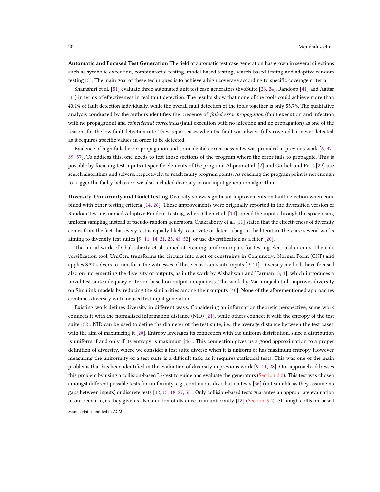Automatic and Focused Test Generation The field of automatic test case generation has grown in several directions such as symbolic execution, combinatorial testing, model-based testing, search-based testing and adaptive random testing [\[5\]](#page-21-0). The main goal of these techniques is to achieve a high coverage according to specific coverage criteria.

Shamshiri et al. [\[51\]](#page-23-1) evaluate three automated unit test case generators (EvoSuite [\[23,](#page-22-19) [24\]](#page-22-20), Randoop [\[41\]](#page-23-17) and Agitar [\[1\]](#page-21-4)) in terms of effectiveness in real fault detection. The results show that none of the tools could achieve more than 40.1% of fault detection individually, while the overall fault detection of the tools together is only 55.7%. The qualitative analysis conducted by the authors identifies the presence of *failed error propagation* (fault execution and infection with no propagation) and *coincidental correctness* (fault execution with no infection and no propagation) as one of the reasons for the low fault detection rate. They report cases when the fault was always fully covered but never detected, as it requires specific values in order to be detected.

Evidence of high failed error propagation and coincidental correctness rates was provided in previous work [\[6,](#page-21-5) [37–](#page-23-18) [39,](#page-23-19) [57\]](#page-23-20). To address this, one needs to test those sections of the program where the error fails to propagate. This is possible by focusing test inputs at specific elements of the program. Alipour et al. [\[2\]](#page-21-1) and Gotlieb and Petit [\[29\]](#page-22-21) use search algorithms and solvers, respectively, to reach faulty program points. As reaching the program point is not enough to trigger the faulty behavior, we also included diversity in our input generation algorithm.

Diversity, Uniformity and GödelTesting Diversity shows significant improvements on fault detection when combined with other testing criteria [\[14,](#page-22-18) [26\]](#page-22-0). These improvements were originally reported in the diversified version of Random Testing, named Adaptive Random Testing, where Chen et al. [\[14\]](#page-22-18) spread the inputs through the space using uniform sampling instead of pseudo-random generators. Chakraborty et al. [\[11\]](#page-22-3) stated that the effectiveness of diversity comes from the fact that every test is equally likely to activate or detect a bug. In the literature there are several works aiming to diversify test suites  $[9-11, 14, 21, 25, 43, 52]$  $[9-11, 14, 21, 25, 43, 52]$  $[9-11, 14, 21, 25, 43, 52]$  $[9-11, 14, 21, 25, 43, 52]$  $[9-11, 14, 21, 25, 43, 52]$  $[9-11, 14, 21, 25, 43, 52]$  $[9-11, 14, 21, 25, 43, 52]$  $[9-11, 14, 21, 25, 43, 52]$  $[9-11, 14, 21, 25, 43, 52]$  $[9-11, 14, 21, 25, 43, 52]$  $[9-11, 14, 21, 25, 43, 52]$  $[9-11, 14, 21, 25, 43, 52]$ , or use diversification as a filter  $[20]$ .

The initial work of Chakraborty et al. aimed at creating uniform inputs for testing electrical circuits. Their diversification tool, UniGen, transforms the circuits into a set of constraints in Conjunctive Normal Form (CNF) and applies SAT solvers to transform the witnesses of these constraints into inputs [\[9,](#page-22-22) [11\]](#page-22-3). Diversity methods have focused also on incrementing the diversity of outputs, as in the work by Alshahwan and Harman [\[3,](#page-21-6) [4\]](#page-21-7), which introduces a novel test suite adequacy criterion based on output uniqueness. The work by Matinnejad et al. improves diversity on Simulink models by reducing the similarities among their outputs [\[40\]](#page-23-22). None of the aforementioned approaches combines diversity with focused test input generation.

Existing work defines diversity in different ways. Considering an information theoretic perspective, some work connects it with the normalised information distance (NID) [\[21\]](#page-22-23), while others connect it with the entropy of the test suite [\[52\]](#page-23-9). NID can be used to define the diameter of the test suite, i.e., the average distance between the test cases, with the aim of maximizing it [\[20\]](#page-22-1). Entropy leverages its connection with the uniform distribution, since a distribution is uniform if and only if its entropy is maximum [\[46\]](#page-23-23). This connection gives us a good approximation to a proper definition of diversity, where we consider a test suite diverse when it is uniform or has maximum entropy. However, measuring the uniformity of a test suite is a difficult task, as it requires statistical tests. This was one of the main problems that has been identified in the evaluation of diversity in previous work [\[9–](#page-22-22)[11,](#page-22-3) [28\]](#page-22-4). Our approach addresses this problem by using a collision-based L2-test to guide and evaluate the generators [\(Section 3.2\)](#page-6-0). This test was chosen amongst different possible tests for uniformity, e.g., continuous distribution tests [\[36\]](#page-22-6) (not suitable as they assume no gaps between inputs) or discrete tests [\[12,](#page-22-25) [15,](#page-22-26) [18,](#page-22-8) [27,](#page-22-7) [55\]](#page-23-24). Only collision-based tests guarantee an appropriate evaluation in our scenario, as they give us also a notion of distance from uniformity [\[18\]](#page-22-8) [\(Section 3.2\)](#page-6-0). Although collision-based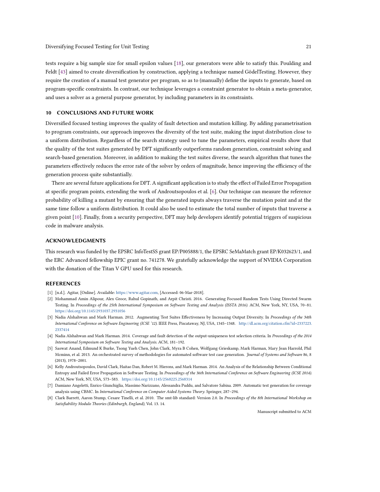tests require a big sample size for small epsilon values [\[18\]](#page-22-8), our generators were able to satisfy this. Poulding and Feldt [\[43\]](#page-23-21) aimed to create diversification by construction, applying a technique named GödelTesting. However, they require the creation of a manual test generator per program, so as to (manually) define the inputs to generate, based on program-specific constraints. In contrast, our technique leverages a constraint generator to obtain a meta-generator, and uses a solver as a general purpose generator, by including parameters in its constraints.

# 10 CONCLUSIONS AND FUTURE WORK

Diversified focused testing improves the quality of fault detection and mutation killing. By adding parametrisation to program constraints, our approach improves the diversity of the test suite, making the input distribution close to a uniform distribution. Regardless of the search strategy used to tune the parameters, empirical results show that the quality of the test suites generated by DFT significantly outperforms random generation, constraint solving and search-based generation. Moreover, in addition to making the test suites diverse, the search algorithm that tunes the parameters effectively reduces the error rate of the solver by orders of magnitude, hence improving the efficiency of the generation process quite substantially.

There are several future applications for DFT. A significant application is to study the effect of Failed Error Propagation at specific program points, extending the work of Androutsopoulos et al. [\[6\]](#page-21-5). Our technique can measure the reference probability of killing a mutant by ensuring that the generated inputs always traverse the mutation point and at the same time follow a uniform distribution. It could also be used to estimate the total number of inputs that traverse a given point [\[10\]](#page-22-27). Finally, from a security perspective, DFT may help developers identify potential triggers of suspicious code in malware analysis.

#### ACKNOWLEDGMENTS

This research was funded by the EPSRC InfoTestSS grant EP/P005888/1, the EPSRC SeMaMatch grant EP/K032623/1, and the ERC Advanced fellowship EPIC grant no. 741278. We gratefully acknowledge the support of NVIDIA Corporation with the donation of the Titan V GPU used for this research.

# **REFERENCES**

- <span id="page-21-4"></span>[1] [n.d.]. Agitar, [Online]. Available: [https://www.agitar.com,](https://www.agitar.com) [Accessed: 06-Mar-2018].
- <span id="page-21-1"></span>[2] Mohammad Amin Alipour, Alex Groce, Rahul Gopinath, and Arpit Christi. 2016. Generating Focused Random Tests Using Directed Swarm Testing. In Proceedings of the 25th International Symposium on Software Testing and Analysis (ISSTA 2016). ACM, New York, NY, USA, 70–81. <https://doi.org/10.1145/2931037.2931056>
- <span id="page-21-6"></span>[3] Nadia Alshahwan and Mark Harman. 2012. Augmenting Test Suites Effectiveness by Increasing Output Diversity. In Proceedings of the 34th International Conference on Software Engineering (ICSE '12). IEEE Press, Piscataway, NJ, USA, 1345–1348. [http://dl.acm.org/citation.cfm?id=2337223.](http://dl.acm.org/citation.cfm?id=2337223.2337414) [2337414](http://dl.acm.org/citation.cfm?id=2337223.2337414)
- <span id="page-21-7"></span>[4] Nadia Alshahwan and Mark Harman. 2014. Coverage and fault detection of the output-uniqueness test selection criteria. In Proceedings of the 2014 International Symposium on Software Testing and Analysis. ACM, 181–192.
- <span id="page-21-0"></span>[5] Saswat Anand, Edmund K Burke, Tsong Yueh Chen, John Clark, Myra B Cohen, Wolfgang Grieskamp, Mark Harman, Mary Jean Harrold, Phil Mcminn, et al. 2013. An orchestrated survey of methodologies for automated software test case generation. Journal of Systems and Software 86, 8 (2013), 1978–2001.
- <span id="page-21-5"></span>[6] Kelly Androutsopoulos, David Clark, Haitao Dan, Robert M. Hierons, and Mark Harman. 2014. An Analysis of the Relationship Between Conditional Entropy and Failed Error Propagation in Software Testing. In Proceedings of the 36th International Conference on Software Engineering (ICSE 2014). ACM, New York, NY, USA, 573–583. <https://doi.org/10.1145/2568225.2568314>
- <span id="page-21-2"></span>[7] Damiano Angeletti, Enrico Giunchiglia, Massimo Narizzano, Alessandra Puddu, and Salvatore Sabina. 2009. Automatic test generation for coverage analysis using CBMC. In International Conference on Computer Aided Systems Theory. Springer, 287–294.
- <span id="page-21-3"></span>[8] Clark Barrett, Aaron Stump, Cesare Tinelli, et al. 2010. The smt-lib standard: Version 2.0. In Proceedings of the 8th International Workshop on Satisfiability Modulo Theories (Edinburgh, England), Vol. 13. 14.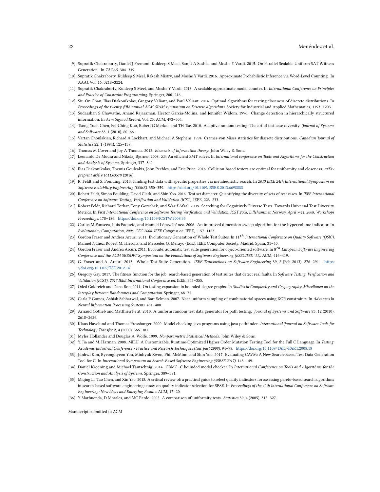- <span id="page-22-22"></span>[9] Supratik Chakraborty, Daniel J Fremont, Kuldeep S Meel, Sanjit A Seshia, and Moshe Y Vardi. 2015. On Parallel Scalable Uniform SAT Witness Generation.. In TACAS. 304–319.
- <span id="page-22-27"></span>[10] Supratik Chakraborty, Kuldeep S Meel, Rakesh Mistry, and Moshe Y Vardi. 2016. Approximate Probabilistic Inference via Word-Level Counting.. In AAAI, Vol. 16. 3218–3224.
- <span id="page-22-3"></span>[11] Supratik Chakraborty, Kuldeep S Meel, and Moshe Y Vardi. 2013. A scalable approximate model counter. In International Conference on Principles and Practice of Constraint Programming. Springer, 200–216.
- <span id="page-22-25"></span>[12] Siu-On Chan, Ilias Diakonikolas, Gregory Valiant, and Paul Valiant. 2014. Optimal algorithms for testing closeness of discrete distributions. In Proceedings of the twenty-fifth annual ACM-SIAM symposium on Discrete algorithms. Society for Industrial and Applied Mathematics, 1193–1203.
- <span id="page-22-14"></span>[13] Sudarshan S Chawathe, Anand Rajaraman, Hector Garcia-Molina, and Jennifer Widom. 1996. Change detection in hierarchically structured information. In Acm Sigmod Record, Vol. 25. ACM, 493–504.
- <span id="page-22-18"></span>[14] Tsong Yueh Chen, Fei-Ching Kuo, Robert G Merkel, and TH Tse. 2010. Adaptive random testing: The art of test case diversity. Journal of Systems and Software 83, 1 (2010), 60–66.
- <span id="page-22-26"></span>[15] Vartan Choulakian, Richard A Lockhart, and Michael A Stephens. 1994. Cramér-von Mises statistics for discrete distributions. Canadian Journal of Statistics 22, 1 (1994), 125–137.
- <span id="page-22-5"></span>[16] Thomas M Cover and Joy A Thomas. 2012. Elements of information theory. John Wiley & Sons.
- <span id="page-22-11"></span>[17] Leonardo De Moura and Nikolaj Bjørner. 2008. Z3: An efficient SMT solver. In International conference on Tools and Algorithms for the Construction and Analysis of Systems. Springer, 337–340.
- <span id="page-22-8"></span>[18] Ilias Diakonikolas, Themis Gouleakis, John Peebles, and Eric Price. 2016. Collision-based testers are optimal for uniformity and closeness. arXiv preprint arXiv:1611.03579 (2016).
- <span id="page-22-2"></span>[19] R. Feldt and S. Poulding. 2013. Finding test data with specific properties via metaheuristic search. In 2013 IEEE 24th International Symposium on Software Reliability Engineering (ISSRE). 350–359. <https://doi.org/10.1109/ISSRE.2013.6698888>
- <span id="page-22-1"></span>[20] Robert Feldt, Simon Poulding, David Clark, and Shin Yoo. 2016. Test set diameter: Quantifying the diversity of sets of test cases. In IEEE International Conference on Software Testing, Verification and Validation (ICST). IEEE, 223–233.
- <span id="page-22-23"></span>[21] Robert Feldt, Richard Torkar, Tony Gorschek, and Wasif Afzal. 2008. Searching for Cognitively Diverse Tests: Towards Universal Test Diversity Metrics. In First International Conference on Software Testing Verification and Validation, ICST 2008, Lillehammer, Norway, April 9-11, 2008, Workshops Proceedings. 178–186. <https://doi.org/10.1109/ICSTW.2008.36>
- <span id="page-22-12"></span>[22] Carlos M Fonseca, Luís Paquete, and Manuel López-Ibánez. 2006. An improved dimension-sweep algorithm for the hypervolume indicator. In Evolutionary Computation, 2006. CEC 2006. IEEE Congress on. IEEE, 1157–1163.
- <span id="page-22-19"></span>[23] Gordon Fraser and Andrea Arcuri. 2011. Evolutionary Generation of Whole Test Suites. In 11<sup>th</sup> International Conference on Quality Software (QSIC), Manuel Núñez, Robert M. Hierons, and Mercedes G. Merayo (Eds.). IEEE Computer Society, Madrid, Spain, 31–40.
- <span id="page-22-20"></span>[24] Gordon Fraser and Andrea Arcuri. 2011. EvoSuite: automatic test suite generation for object-oriented software. In 8<sup>th</sup> European Software Engineering Conference and the ACM SIGSOFT Symposium on the Foundations of Software Engineering (ESEC/FSE '11). ACM, 416–419.
- <span id="page-22-24"></span>[25] G. Fraser and A. Arcuri. 2013. Whole Test Suite Generation. IEEE Transactions on Software Engineering 39, 2 (Feb 2013), 276-291. [https:](https://doi.org/10.1109/TSE.2012.14) [//doi.org/10.1109/TSE.2012.14](https://doi.org/10.1109/TSE.2012.14)
- <span id="page-22-0"></span>[26] Gregory Gay. 2017. The fitness function for the job: search-based generation of test suites that detect real faults. In Software Testing, Verification and Validation (ICST), 2017 IEEE International Conference on. IEEE, 345–355.
- <span id="page-22-7"></span>[27] Oded Goldreich and Dana Ron. 2011. On testing expansion in bounded-degree graphs. In Studies in Complexity and Cryptography. Miscellanea on the Interplay between Randomness and Computation. Springer, 68–75.
- <span id="page-22-4"></span>[28] Carla P Gomes, Ashish Sabharwal, and Bart Selman. 2007. Near-uniform sampling of combinatorial spaces using XOR constraints. In Advances In Neural Information Processing Systems. 481–488.
- <span id="page-22-21"></span>[29] Arnaud Gotlieb and Matthieu Petit. 2010. A uniform random test data generator for path testing. Journal of Systems and Software 83, 12 (2010), 2618–2626.
- <span id="page-22-10"></span>[30] Klaus Havelund and Thomas Pressburger. 2000. Model checking java programs using java pathfinder. International Journal on Software Tools for Technology Transfer 2, 4 (2000), 366–381.
- <span id="page-22-16"></span>[31] Myles Hollander and Douglas A. Wolfe. 1999. Nonparametric Statistical Methods. John Wiley & Sons.
- <span id="page-22-17"></span>[32] Y. Jia and M. Harman. 2008. MILU: A Customizable, Runtime-Optimized Higher Order Mutation Testing Tool for the Full C Language. In Testing: Academic Industrial Conference - Practice and Research Techniques (taic part 2008). 94–98. <https://doi.org/10.1109/TAIC-PART.2008.18>
- <span id="page-22-15"></span>[33] Junhwi Kim, Byeonghyeon You, Minhyuk Kwon, Phil McMinn, and Shin Yoo. 2017. Evaluating CAVM: A New Search-Based Test Data Generation Tool for C. In International Symposium on Search-Based Software Engineering (SSBSE 2017). 143–149.
- <span id="page-22-9"></span>[34] Daniel Kroening and Michael Tautschnig. 2014. CBMC-C bounded model checker. In International Conference on Tools and Algorithms for the Construction and Analysis of Systems. Springer, 389–391.
- <span id="page-22-13"></span>[35] Miqing Li, Tao Chen, and Xin Yao. 2018. A critical review of: a practical guide to select quality indicators for assessing pareto-based search algorithms in search-based software engineering: essay on quality indicator selection for SBSE. In Proceedings of the 40th International Conference on Software Engineering: New Ideas and Emerging Results. ACM, 17–20.
- <span id="page-22-6"></span>[36] Y Marhuenda, D Morales, and MC Pardo. 2005. A comparison of uniformity tests. Statistics 39, 4 (2005), 315–327.